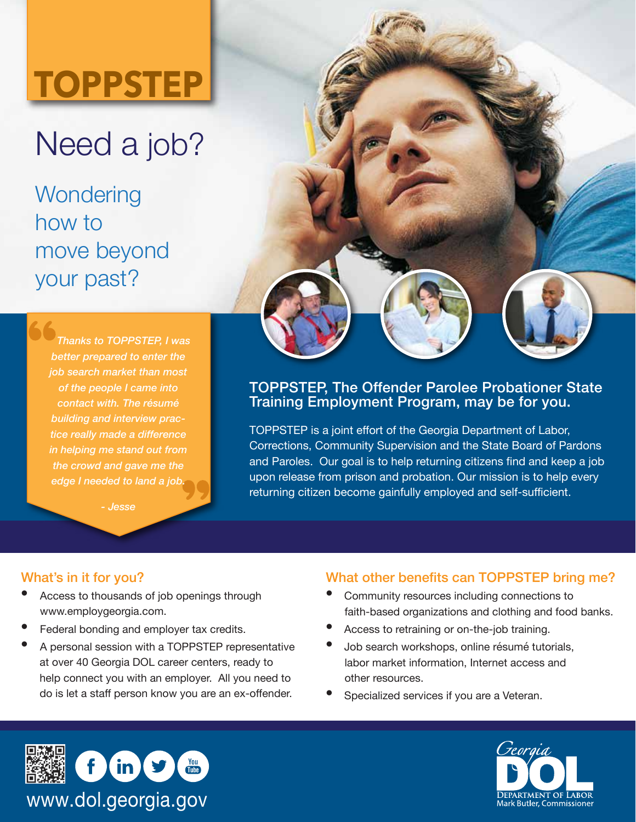# **TOPPSTEP**

## Need a job?

**Wondering** how to move beyond your past?

> *Thanks to TOPPSTEP, I was better prepared to enter the job search market than most of the people I came into contact with. The résumé building and interview practice really made a difference in helping me stand out from the crowd and gave me the edge I needed to land a job.*

> > *- Jesse*

#### TOPPSTEP, The Offender Parolee Probationer State Training Employment Program, may be for you.

TOPPSTEP is a joint effort of the Georgia Department of Labor, Corrections, Community Supervision and the State Board of Pardons and Paroles. Our goal is to help returning citizens find and keep a job upon release from prison and probation. Our mission is to help every returning citizen become gainfully employed and self-sufficient.

#### What's in it for you?

- Access to thousands of job openings through www.employgeorgia.com.
- Federal bonding and employer tax credits.
- A personal session with a TOPPSTEP representative at over 40 Georgia DOL career centers, ready to help connect you with an employer. All you need to do is let a staff person know you are an ex-offender.

#### What other benefits can TOPPSTEP bring me?

- Community resources including connections to faith-based organizations and clothing and food banks.
- Access to retraining or on-the-job training.
- Job search workshops, online résumé tutorials, labor market information, Internet access and other resources.
- Specialized services if you are a Veteran.